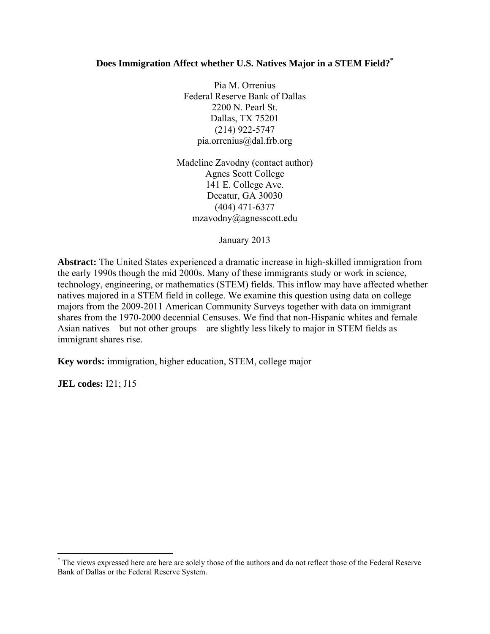### **Does Immigration Affect whether U.S. Natives Major in a STEM Field?\***

Pia M. Orrenius Federal Reserve Bank of Dallas 2200 N. Pearl St. Dallas, TX 75201 (214) 922-5747 pia.orrenius@dal.frb.org

Madeline Zavodny (contact author) Agnes Scott College 141 E. College Ave. Decatur, GA 30030 (404) 471-6377 mzavodny@agnesscott.edu

January 2013

**Abstract:** The United States experienced a dramatic increase in high-skilled immigration from the early 1990s though the mid 2000s. Many of these immigrants study or work in science, technology, engineering, or mathematics (STEM) fields. This inflow may have affected whether natives majored in a STEM field in college. We examine this question using data on college majors from the 2009-2011 American Community Surveys together with data on immigrant shares from the 1970-2000 decennial Censuses. We find that non-Hispanic whites and female Asian natives—but not other groups—are slightly less likely to major in STEM fields as immigrant shares rise.

**Key words:** immigration, higher education, STEM, college major

**JEL codes:** I21; J15

 \* The views expressed here are here are solely those of the authors and do not reflect those of the Federal Reserve Bank of Dallas or the Federal Reserve System.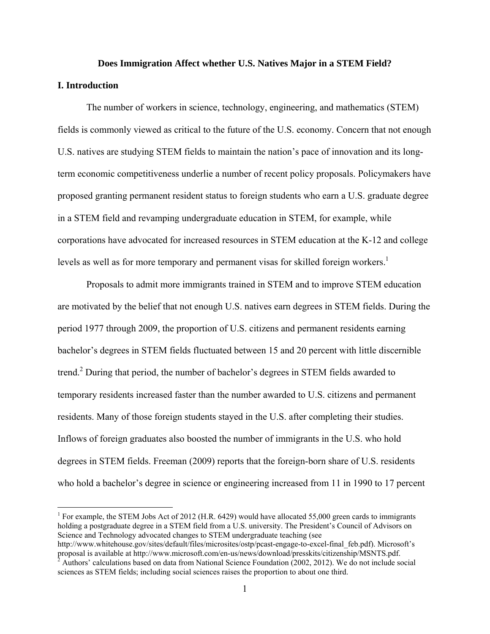#### **Does Immigration Affect whether U.S. Natives Major in a STEM Field?**

#### **I. Introduction**

 $\overline{a}$ 

 The number of workers in science, technology, engineering, and mathematics (STEM) fields is commonly viewed as critical to the future of the U.S. economy. Concern that not enough U.S. natives are studying STEM fields to maintain the nation's pace of innovation and its longterm economic competitiveness underlie a number of recent policy proposals. Policymakers have proposed granting permanent resident status to foreign students who earn a U.S. graduate degree in a STEM field and revamping undergraduate education in STEM, for example, while corporations have advocated for increased resources in STEM education at the K-12 and college levels as well as for more temporary and permanent visas for skilled foreign workers.<sup>1</sup>

 Proposals to admit more immigrants trained in STEM and to improve STEM education are motivated by the belief that not enough U.S. natives earn degrees in STEM fields. During the period 1977 through 2009, the proportion of U.S. citizens and permanent residents earning bachelor's degrees in STEM fields fluctuated between 15 and 20 percent with little discernible trend.<sup>2</sup> During that period, the number of bachelor's degrees in STEM fields awarded to temporary residents increased faster than the number awarded to U.S. citizens and permanent residents. Many of those foreign students stayed in the U.S. after completing their studies. Inflows of foreign graduates also boosted the number of immigrants in the U.S. who hold degrees in STEM fields. Freeman (2009) reports that the foreign-born share of U.S. residents who hold a bachelor's degree in science or engineering increased from 11 in 1990 to 17 percent

<sup>&</sup>lt;sup>1</sup> For example, the STEM Jobs Act of 2012 (H.R. 6429) would have allocated 55,000 green cards to immigrants holding a postgraduate degree in a STEM field from a U.S. university. The President's Council of Advisors on Science and Technology advocated changes to STEM undergraduate teaching (see

http://www.whitehouse.gov/sites/default/files/microsites/ostp/pcast-engage-to-excel-final\_feb.pdf). Microsoft's proposal is available at http://www.microsoft.com/en-us/news/download/presskits/citizenship/MSNTS.pdf.<br><sup>2</sup> Authors' calculations based on data from National Science Foundation (2002, 2012). We do not include social sciences as STEM fields; including social sciences raises the proportion to about one third.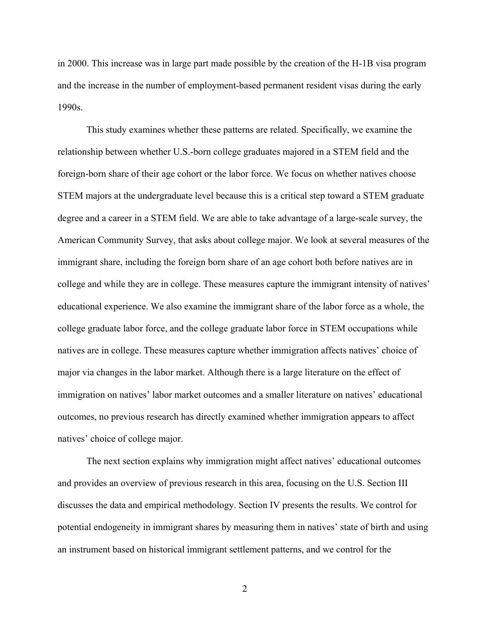in 2000. This increase was in large part made possible by the creation of the H-1B visa program and the increase in the number of employment-based permanent resident visas during the early 1990s.

 This study examines whether these patterns are related. Specifically, we examine the relationship between whether U.S.-born college graduates majored in a STEM field and the foreign-born share of their age cohort or the labor force. We focus on whether natives choose STEM majors at the undergraduate level because this is a critical step toward a STEM graduate degree and a career in a STEM field. We are able to take advantage of a large-scale survey, the American Community Survey, that asks about college major. We look at several measures of the immigrant share, including the foreign born share of an age cohort both before natives are in college and while they are in college. These measures capture the immigrant intensity of natives' educational experience. We also examine the immigrant share of the labor force as a whole, the college graduate labor force, and the college graduate labor force in STEM occupations while natives are in college. These measures capture whether immigration affects natives' choice of major via changes in the labor market. Although there is a large literature on the effect of immigration on natives' labor market outcomes and a smaller literature on natives' educational outcomes, no previous research has directly examined whether immigration appears to affect natives' choice of college major.

 The next section explains why immigration might affect natives' educational outcomes and provides an overview of previous research in this area, focusing on the U.S. Section III discusses the data and empirical methodology. Section IV presents the results. We control for potential endogeneity in immigrant shares by measuring them in natives' state of birth and using an instrument based on historical immigrant settlement patterns, and we control for the

2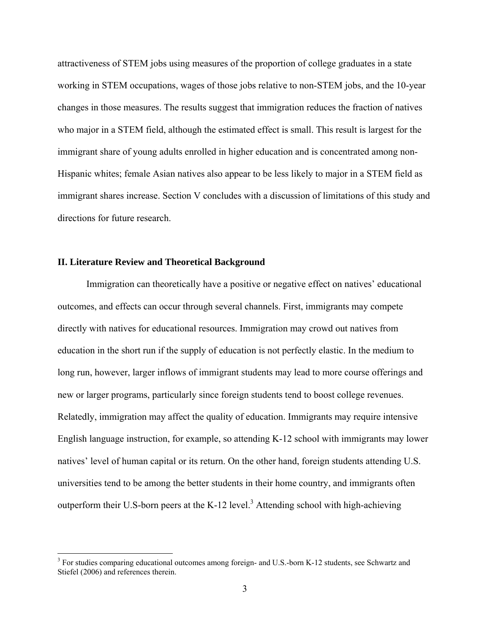attractiveness of STEM jobs using measures of the proportion of college graduates in a state working in STEM occupations, wages of those jobs relative to non-STEM jobs, and the 10-year changes in those measures. The results suggest that immigration reduces the fraction of natives who major in a STEM field, although the estimated effect is small. This result is largest for the immigrant share of young adults enrolled in higher education and is concentrated among non-Hispanic whites; female Asian natives also appear to be less likely to major in a STEM field as immigrant shares increase. Section V concludes with a discussion of limitations of this study and directions for future research.

### **II. Literature Review and Theoretical Background**

1

 Immigration can theoretically have a positive or negative effect on natives' educational outcomes, and effects can occur through several channels. First, immigrants may compete directly with natives for educational resources. Immigration may crowd out natives from education in the short run if the supply of education is not perfectly elastic. In the medium to long run, however, larger inflows of immigrant students may lead to more course offerings and new or larger programs, particularly since foreign students tend to boost college revenues. Relatedly, immigration may affect the quality of education. Immigrants may require intensive English language instruction, for example, so attending K-12 school with immigrants may lower natives' level of human capital or its return. On the other hand, foreign students attending U.S. universities tend to be among the better students in their home country, and immigrants often outperform their U.S-born peers at the K-12 level.<sup>3</sup> Attending school with high-achieving

<sup>&</sup>lt;sup>3</sup> For studies comparing educational outcomes among foreign- and U.S.-born K-12 students, see Schwartz and Stiefel (2006) and references therein.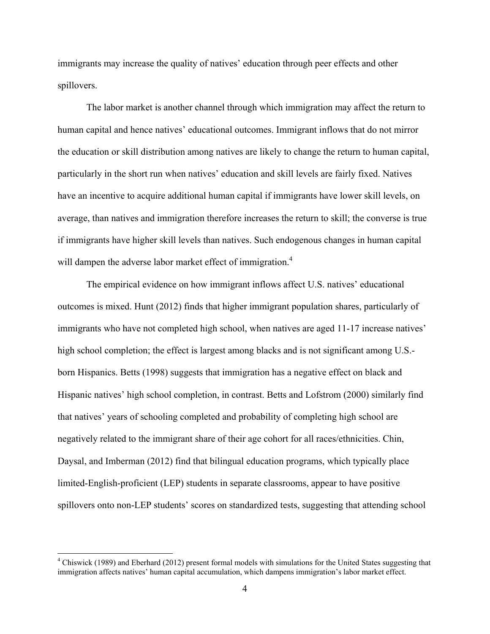immigrants may increase the quality of natives' education through peer effects and other spillovers.

 The labor market is another channel through which immigration may affect the return to human capital and hence natives' educational outcomes. Immigrant inflows that do not mirror the education or skill distribution among natives are likely to change the return to human capital, particularly in the short run when natives' education and skill levels are fairly fixed. Natives have an incentive to acquire additional human capital if immigrants have lower skill levels, on average, than natives and immigration therefore increases the return to skill; the converse is true if immigrants have higher skill levels than natives. Such endogenous changes in human capital will dampen the adverse labor market effect of immigration.<sup>4</sup>

 The empirical evidence on how immigrant inflows affect U.S. natives' educational outcomes is mixed. Hunt (2012) finds that higher immigrant population shares, particularly of immigrants who have not completed high school, when natives are aged 11-17 increase natives' high school completion; the effect is largest among blacks and is not significant among U.S.born Hispanics. Betts (1998) suggests that immigration has a negative effect on black and Hispanic natives' high school completion, in contrast. Betts and Lofstrom (2000) similarly find that natives' years of schooling completed and probability of completing high school are negatively related to the immigrant share of their age cohort for all races/ethnicities. Chin, Daysal, and Imberman (2012) find that bilingual education programs, which typically place limited-English-proficient (LEP) students in separate classrooms, appear to have positive spillovers onto non-LEP students' scores on standardized tests, suggesting that attending school

<sup>&</sup>lt;sup>4</sup> Chiswick (1989) and Eberhard (2012) present formal models with simulations for the United States suggesting that immigration affects natives' human capital accumulation, which dampens immigration's labor market effect.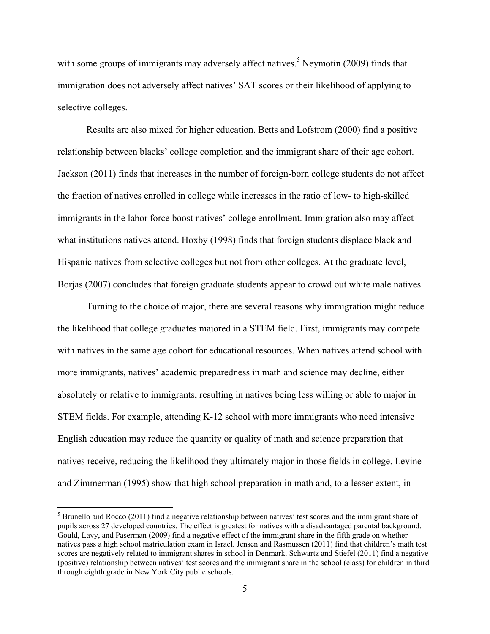with some groups of immigrants may adversely affect natives.<sup>5</sup> Neymotin (2009) finds that immigration does not adversely affect natives' SAT scores or their likelihood of applying to selective colleges.

 Results are also mixed for higher education. Betts and Lofstrom (2000) find a positive relationship between blacks' college completion and the immigrant share of their age cohort. Jackson (2011) finds that increases in the number of foreign-born college students do not affect the fraction of natives enrolled in college while increases in the ratio of low- to high-skilled immigrants in the labor force boost natives' college enrollment. Immigration also may affect what institutions natives attend. Hoxby (1998) finds that foreign students displace black and Hispanic natives from selective colleges but not from other colleges. At the graduate level, Borjas (2007) concludes that foreign graduate students appear to crowd out white male natives.

 Turning to the choice of major, there are several reasons why immigration might reduce the likelihood that college graduates majored in a STEM field. First, immigrants may compete with natives in the same age cohort for educational resources. When natives attend school with more immigrants, natives' academic preparedness in math and science may decline, either absolutely or relative to immigrants, resulting in natives being less willing or able to major in STEM fields. For example, attending K-12 school with more immigrants who need intensive English education may reduce the quantity or quality of math and science preparation that natives receive, reducing the likelihood they ultimately major in those fields in college. Levine and Zimmerman (1995) show that high school preparation in math and, to a lesser extent, in

 $<sup>5</sup>$  Brunello and Rocco (2011) find a negative relationship between natives' test scores and the immigrant share of</sup> pupils across 27 developed countries. The effect is greatest for natives with a disadvantaged parental background. Gould, Lavy, and Paserman (2009) find a negative effect of the immigrant share in the fifth grade on whether natives pass a high school matriculation exam in Israel. Jensen and Rasmussen (2011) find that children's math test scores are negatively related to immigrant shares in school in Denmark. Schwartz and Stiefel (2011) find a negative (positive) relationship between natives' test scores and the immigrant share in the school (class) for children in third through eighth grade in New York City public schools.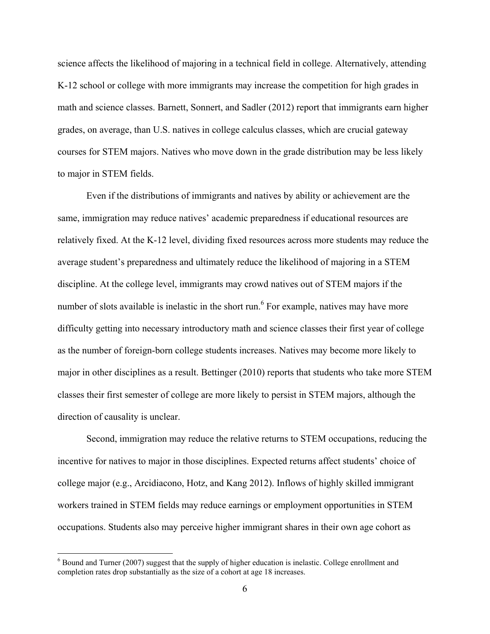science affects the likelihood of majoring in a technical field in college. Alternatively, attending K-12 school or college with more immigrants may increase the competition for high grades in math and science classes. Barnett, Sonnert, and Sadler (2012) report that immigrants earn higher grades, on average, than U.S. natives in college calculus classes, which are crucial gateway courses for STEM majors. Natives who move down in the grade distribution may be less likely to major in STEM fields.

 Even if the distributions of immigrants and natives by ability or achievement are the same, immigration may reduce natives' academic preparedness if educational resources are relatively fixed. At the K-12 level, dividing fixed resources across more students may reduce the average student's preparedness and ultimately reduce the likelihood of majoring in a STEM discipline. At the college level, immigrants may crowd natives out of STEM majors if the number of slots available is inelastic in the short run.<sup>6</sup> For example, natives may have more difficulty getting into necessary introductory math and science classes their first year of college as the number of foreign-born college students increases. Natives may become more likely to major in other disciplines as a result. Bettinger (2010) reports that students who take more STEM classes their first semester of college are more likely to persist in STEM majors, although the direction of causality is unclear.

 Second, immigration may reduce the relative returns to STEM occupations, reducing the incentive for natives to major in those disciplines. Expected returns affect students' choice of college major (e.g., Arcidiacono, Hotz, and Kang 2012). Inflows of highly skilled immigrant workers trained in STEM fields may reduce earnings or employment opportunities in STEM occupations. Students also may perceive higher immigrant shares in their own age cohort as

<sup>&</sup>lt;sup>6</sup> Bound and Turner (2007) suggest that the supply of higher education is inelastic. College enrollment and completion rates drop substantially as the size of a cohort at age 18 increases.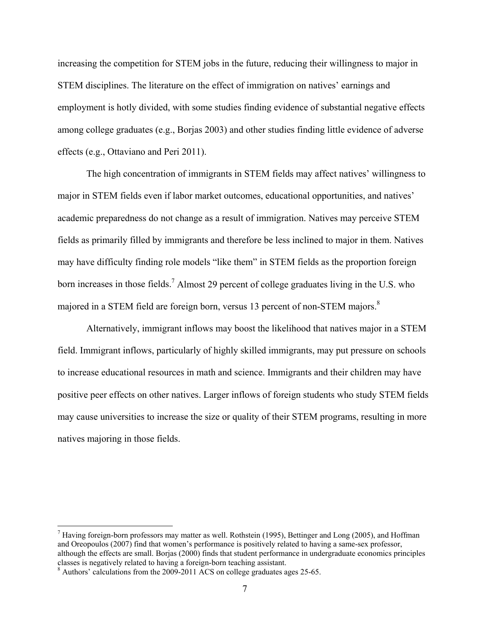increasing the competition for STEM jobs in the future, reducing their willingness to major in STEM disciplines. The literature on the effect of immigration on natives' earnings and employment is hotly divided, with some studies finding evidence of substantial negative effects among college graduates (e.g., Borjas 2003) and other studies finding little evidence of adverse effects (e.g., Ottaviano and Peri 2011).

 The high concentration of immigrants in STEM fields may affect natives' willingness to major in STEM fields even if labor market outcomes, educational opportunities, and natives' academic preparedness do not change as a result of immigration. Natives may perceive STEM fields as primarily filled by immigrants and therefore be less inclined to major in them. Natives may have difficulty finding role models "like them" in STEM fields as the proportion foreign born increases in those fields.<sup>7</sup> Almost 29 percent of college graduates living in the U.S. who majored in a STEM field are foreign born, versus 13 percent of non-STEM majors.<sup>8</sup>

 Alternatively, immigrant inflows may boost the likelihood that natives major in a STEM field. Immigrant inflows, particularly of highly skilled immigrants, may put pressure on schools to increase educational resources in math and science. Immigrants and their children may have positive peer effects on other natives. Larger inflows of foreign students who study STEM fields may cause universities to increase the size or quality of their STEM programs, resulting in more natives majoring in those fields.

<sup>&</sup>lt;sup>7</sup> Having foreign-born professors may matter as well. Rothstein (1995), Bettinger and Long (2005), and Hoffman and Oreopoulos (2007) find that women's performance is positively related to having a same-sex professor, although the effects are small. Borjas (2000) finds that student performance in undergraduate economics principles classes is negatively related to having a foreign-born teaching assistant.

Authors' calculations from the 2009-2011 ACS on college graduates ages 25-65.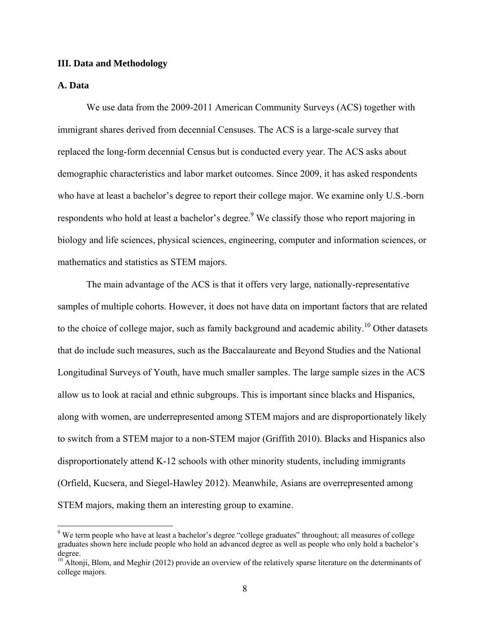#### **III. Data and Methodology**

#### **A. Data**

 $\overline{a}$ 

 We use data from the 2009-2011 American Community Surveys (ACS) together with immigrant shares derived from decennial Censuses. The ACS is a large-scale survey that replaced the long-form decennial Census but is conducted every year. The ACS asks about demographic characteristics and labor market outcomes. Since 2009, it has asked respondents who have at least a bachelor's degree to report their college major. We examine only U.S.-born respondents who hold at least a bachelor's degree.<sup>9</sup> We classify those who report majoring in biology and life sciences, physical sciences, engineering, computer and information sciences, or mathematics and statistics as STEM majors.

 The main advantage of the ACS is that it offers very large, nationally-representative samples of multiple cohorts. However, it does not have data on important factors that are related to the choice of college major, such as family background and academic ability.<sup>10</sup> Other datasets that do include such measures, such as the Baccalaureate and Beyond Studies and the National Longitudinal Surveys of Youth, have much smaller samples. The large sample sizes in the ACS allow us to look at racial and ethnic subgroups. This is important since blacks and Hispanics, along with women, are underrepresented among STEM majors and are disproportionately likely to switch from a STEM major to a non-STEM major (Griffith 2010). Blacks and Hispanics also disproportionately attend K-12 schools with other minority students, including immigrants (Orfield, Kucsera, and Siegel-Hawley 2012). Meanwhile, Asians are overrepresented among STEM majors, making them an interesting group to examine.

<sup>&</sup>lt;sup>9</sup> We term people who have at least a bachelor's degree "college graduates" throughout; all measures of college graduates shown here include people who hold an advanced degree as well as people who only hold a bachelor's degree.

<sup>&</sup>lt;sup>10</sup> Altonji, Blom, and Meghir (2012) provide an overview of the relatively sparse literature on the determinants of college majors.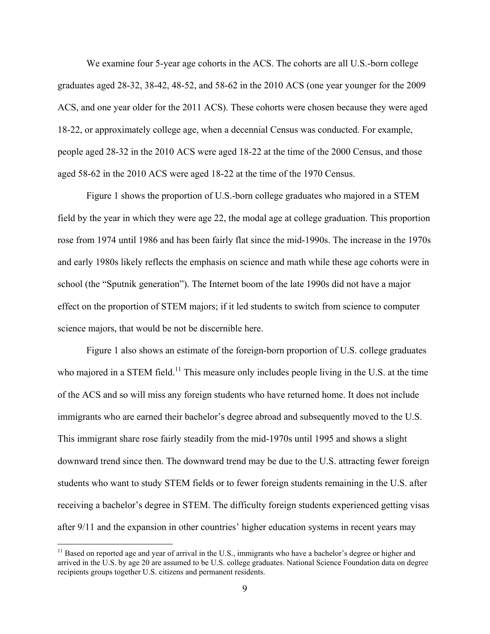We examine four 5-year age cohorts in the ACS. The cohorts are all U.S.-born college graduates aged 28-32, 38-42, 48-52, and 58-62 in the 2010 ACS (one year younger for the 2009 ACS, and one year older for the 2011 ACS). These cohorts were chosen because they were aged 18-22, or approximately college age, when a decennial Census was conducted. For example, people aged 28-32 in the 2010 ACS were aged 18-22 at the time of the 2000 Census, and those aged 58-62 in the 2010 ACS were aged 18-22 at the time of the 1970 Census.

 Figure 1 shows the proportion of U.S.-born college graduates who majored in a STEM field by the year in which they were age 22, the modal age at college graduation. This proportion rose from 1974 until 1986 and has been fairly flat since the mid-1990s. The increase in the 1970s and early 1980s likely reflects the emphasis on science and math while these age cohorts were in school (the "Sputnik generation"). The Internet boom of the late 1990s did not have a major effect on the proportion of STEM majors; if it led students to switch from science to computer science majors, that would be not be discernible here.

 Figure 1 also shows an estimate of the foreign-born proportion of U.S. college graduates who majored in a STEM field.<sup>11</sup> This measure only includes people living in the U.S. at the time of the ACS and so will miss any foreign students who have returned home. It does not include immigrants who are earned their bachelor's degree abroad and subsequently moved to the U.S. This immigrant share rose fairly steadily from the mid-1970s until 1995 and shows a slight downward trend since then. The downward trend may be due to the U.S. attracting fewer foreign students who want to study STEM fields or to fewer foreign students remaining in the U.S. after receiving a bachelor's degree in STEM. The difficulty foreign students experienced getting visas after 9/11 and the expansion in other countries' higher education systems in recent years may

 $11$  Based on reported age and year of arrival in the U.S., immigrants who have a bachelor's degree or higher and arrived in the U.S. by age 20 are assumed to be U.S. college graduates. National Science Foundation data on degree recipients groups together U.S. citizens and permanent residents.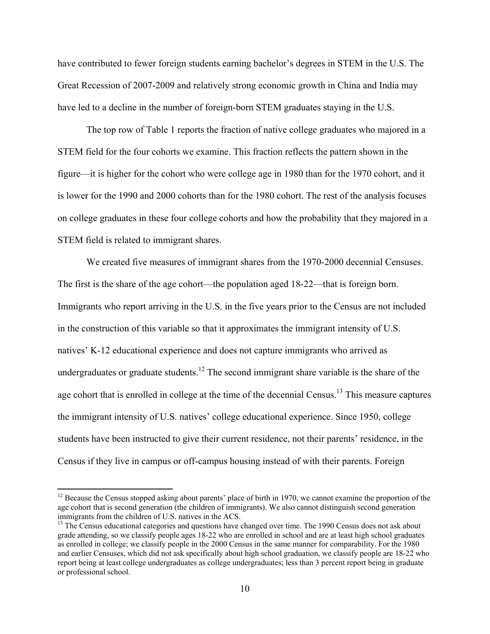have contributed to fewer foreign students earning bachelor's degrees in STEM in the U.S. The Great Recession of 2007-2009 and relatively strong economic growth in China and India may have led to a decline in the number of foreign-born STEM graduates staying in the U.S.

 The top row of Table 1 reports the fraction of native college graduates who majored in a STEM field for the four cohorts we examine. This fraction reflects the pattern shown in the figure—it is higher for the cohort who were college age in 1980 than for the 1970 cohort, and it is lower for the 1990 and 2000 cohorts than for the 1980 cohort. The rest of the analysis focuses on college graduates in these four college cohorts and how the probability that they majored in a STEM field is related to immigrant shares.

 We created five measures of immigrant shares from the 1970-2000 decennial Censuses. The first is the share of the age cohort—the population aged 18-22—that is foreign born. Immigrants who report arriving in the U.S. in the five years prior to the Census are not included in the construction of this variable so that it approximates the immigrant intensity of U.S. natives' K-12 educational experience and does not capture immigrants who arrived as undergraduates or graduate students.<sup>12</sup> The second immigrant share variable is the share of the age cohort that is enrolled in college at the time of the decennial Census.<sup>13</sup> This measure captures the immigrant intensity of U.S. natives' college educational experience. Since 1950, college students have been instructed to give their current residence, not their parents' residence, in the Census if they live in campus or off-campus housing instead of with their parents. Foreign

 $12$  Because the Census stopped asking about parents' place of birth in 1970, we cannot examine the proportion of the age cohort that is second generation (the children of immigrants). We also cannot distinguish second generation immigrants from the children of U.S. natives in the ACS.

<sup>&</sup>lt;sup>13</sup> The Census educational categories and questions have changed over time. The 1990 Census does not ask about grade attending, so we classify people ages 18-22 who are enrolled in school and are at least high school graduates as enrolled in college; we classify people in the 2000 Census in the same manner for comparability. For the 1980 and earlier Censuses, which did not ask specifically about high school graduation, we classify people are 18-22 who report being at least college undergraduates as college undergraduates; less than 3 percent report being in graduate or professional school.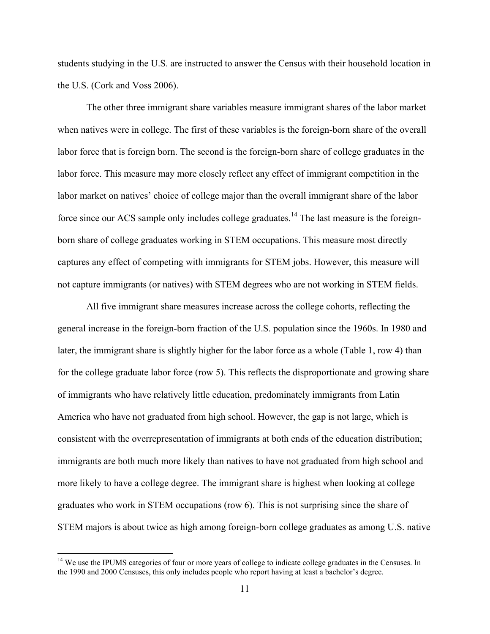students studying in the U.S. are instructed to answer the Census with their household location in the U.S. (Cork and Voss 2006).

 The other three immigrant share variables measure immigrant shares of the labor market when natives were in college. The first of these variables is the foreign-born share of the overall labor force that is foreign born. The second is the foreign-born share of college graduates in the labor force. This measure may more closely reflect any effect of immigrant competition in the labor market on natives' choice of college major than the overall immigrant share of the labor force since our ACS sample only includes college graduates.<sup>14</sup> The last measure is the foreignborn share of college graduates working in STEM occupations. This measure most directly captures any effect of competing with immigrants for STEM jobs. However, this measure will not capture immigrants (or natives) with STEM degrees who are not working in STEM fields.

 All five immigrant share measures increase across the college cohorts, reflecting the general increase in the foreign-born fraction of the U.S. population since the 1960s. In 1980 and later, the immigrant share is slightly higher for the labor force as a whole (Table 1, row 4) than for the college graduate labor force (row 5). This reflects the disproportionate and growing share of immigrants who have relatively little education, predominately immigrants from Latin America who have not graduated from high school. However, the gap is not large, which is consistent with the overrepresentation of immigrants at both ends of the education distribution; immigrants are both much more likely than natives to have not graduated from high school and more likely to have a college degree. The immigrant share is highest when looking at college graduates who work in STEM occupations (row 6). This is not surprising since the share of STEM majors is about twice as high among foreign-born college graduates as among U.S. native

<sup>&</sup>lt;sup>14</sup> We use the IPUMS categories of four or more years of college to indicate college graduates in the Censuses. In the 1990 and 2000 Censuses, this only includes people who report having at least a bachelor's degree.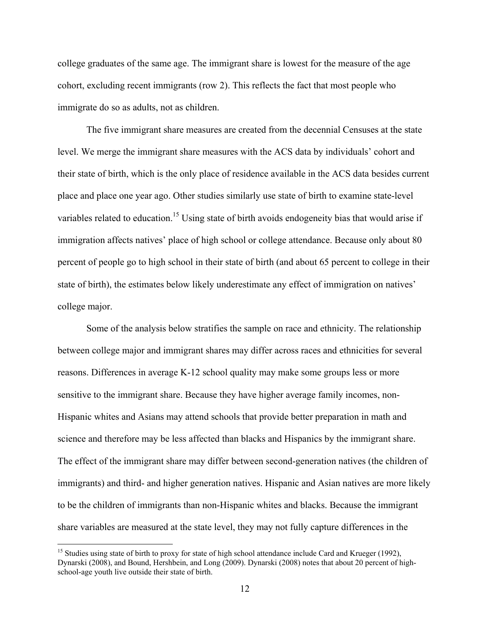college graduates of the same age. The immigrant share is lowest for the measure of the age cohort, excluding recent immigrants (row 2). This reflects the fact that most people who immigrate do so as adults, not as children.

 The five immigrant share measures are created from the decennial Censuses at the state level. We merge the immigrant share measures with the ACS data by individuals' cohort and their state of birth, which is the only place of residence available in the ACS data besides current place and place one year ago. Other studies similarly use state of birth to examine state-level variables related to education.<sup>15</sup> Using state of birth avoids endogeneity bias that would arise if immigration affects natives' place of high school or college attendance. Because only about 80 percent of people go to high school in their state of birth (and about 65 percent to college in their state of birth), the estimates below likely underestimate any effect of immigration on natives' college major.

 Some of the analysis below stratifies the sample on race and ethnicity. The relationship between college major and immigrant shares may differ across races and ethnicities for several reasons. Differences in average K-12 school quality may make some groups less or more sensitive to the immigrant share. Because they have higher average family incomes, non-Hispanic whites and Asians may attend schools that provide better preparation in math and science and therefore may be less affected than blacks and Hispanics by the immigrant share. The effect of the immigrant share may differ between second-generation natives (the children of immigrants) and third- and higher generation natives. Hispanic and Asian natives are more likely to be the children of immigrants than non-Hispanic whites and blacks. Because the immigrant share variables are measured at the state level, they may not fully capture differences in the

<sup>&</sup>lt;sup>15</sup> Studies using state of birth to proxy for state of high school attendance include Card and Krueger (1992), Dynarski (2008), and Bound, Hershbein, and Long (2009). Dynarski (2008) notes that about 20 percent of highschool-age youth live outside their state of birth.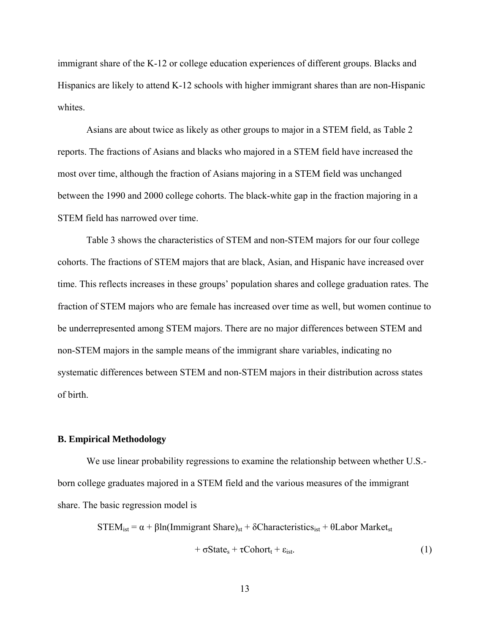immigrant share of the K-12 or college education experiences of different groups. Blacks and Hispanics are likely to attend K-12 schools with higher immigrant shares than are non-Hispanic whites.

 Asians are about twice as likely as other groups to major in a STEM field, as Table 2 reports. The fractions of Asians and blacks who majored in a STEM field have increased the most over time, although the fraction of Asians majoring in a STEM field was unchanged between the 1990 and 2000 college cohorts. The black-white gap in the fraction majoring in a STEM field has narrowed over time.

 Table 3 shows the characteristics of STEM and non-STEM majors for our four college cohorts. The fractions of STEM majors that are black, Asian, and Hispanic have increased over time. This reflects increases in these groups' population shares and college graduation rates. The fraction of STEM majors who are female has increased over time as well, but women continue to be underrepresented among STEM majors. There are no major differences between STEM and non-STEM majors in the sample means of the immigrant share variables, indicating no systematic differences between STEM and non-STEM majors in their distribution across states of birth.

#### **B. Empirical Methodology**

 We use linear probability regressions to examine the relationship between whether U.S. born college graduates majored in a STEM field and the various measures of the immigrant share. The basic regression model is

 $STEM_{ist} = \alpha + \beta ln(Immigrant Share)_{st} + \delta Characteristics_{ist} + \theta Labor Market_{st}$ 

 $+ \sigma State_s + \tau Cohort_t + \varepsilon_{ist}.$  (1)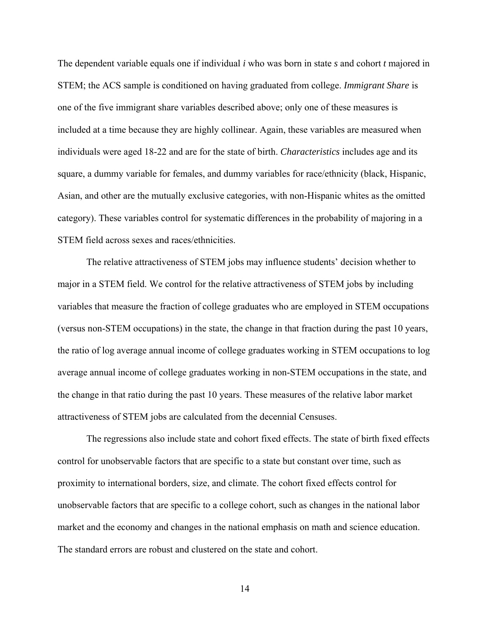The dependent variable equals one if individual *i* who was born in state *s* and cohort *t* majored in STEM; the ACS sample is conditioned on having graduated from college. *Immigrant Share* is one of the five immigrant share variables described above; only one of these measures is included at a time because they are highly collinear. Again, these variables are measured when individuals were aged 18-22 and are for the state of birth. *Characteristics* includes age and its square, a dummy variable for females, and dummy variables for race/ethnicity (black, Hispanic, Asian, and other are the mutually exclusive categories, with non-Hispanic whites as the omitted category). These variables control for systematic differences in the probability of majoring in a STEM field across sexes and races/ethnicities.

 The relative attractiveness of STEM jobs may influence students' decision whether to major in a STEM field. We control for the relative attractiveness of STEM jobs by including variables that measure the fraction of college graduates who are employed in STEM occupations (versus non-STEM occupations) in the state, the change in that fraction during the past 10 years, the ratio of log average annual income of college graduates working in STEM occupations to log average annual income of college graduates working in non-STEM occupations in the state, and the change in that ratio during the past 10 years. These measures of the relative labor market attractiveness of STEM jobs are calculated from the decennial Censuses.

 The regressions also include state and cohort fixed effects. The state of birth fixed effects control for unobservable factors that are specific to a state but constant over time, such as proximity to international borders, size, and climate. The cohort fixed effects control for unobservable factors that are specific to a college cohort, such as changes in the national labor market and the economy and changes in the national emphasis on math and science education. The standard errors are robust and clustered on the state and cohort.

14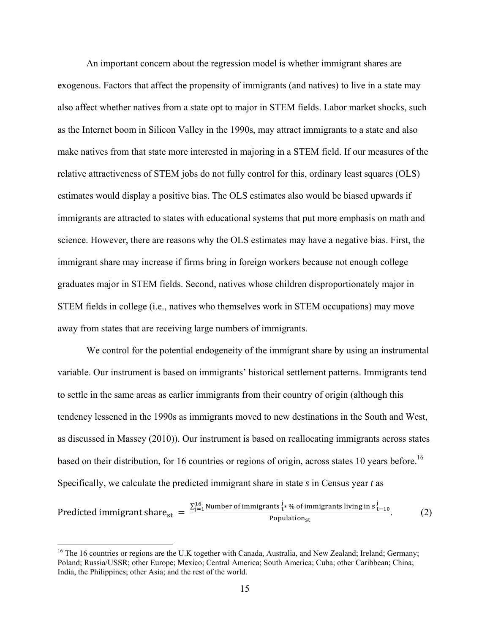An important concern about the regression model is whether immigrant shares are exogenous. Factors that affect the propensity of immigrants (and natives) to live in a state may also affect whether natives from a state opt to major in STEM fields. Labor market shocks, such as the Internet boom in Silicon Valley in the 1990s, may attract immigrants to a state and also make natives from that state more interested in majoring in a STEM field. If our measures of the relative attractiveness of STEM jobs do not fully control for this, ordinary least squares (OLS) estimates would display a positive bias. The OLS estimates also would be biased upwards if immigrants are attracted to states with educational systems that put more emphasis on math and science. However, there are reasons why the OLS estimates may have a negative bias. First, the immigrant share may increase if firms bring in foreign workers because not enough college graduates major in STEM fields. Second, natives whose children disproportionately major in STEM fields in college (i.e., natives who themselves work in STEM occupations) may move away from states that are receiving large numbers of immigrants.

 We control for the potential endogeneity of the immigrant share by using an instrumental variable. Our instrument is based on immigrants' historical settlement patterns. Immigrants tend to settle in the same areas as earlier immigrants from their country of origin (although this tendency lessened in the 1990s as immigrants moved to new destinations in the South and West, as discussed in Massey (2010)). Our instrument is based on reallocating immigrants across states based on their distribution, for 16 countries or regions of origin, across states 10 years before.<sup>16</sup> Specifically, we calculate the predicted immigrant share in state *s* in Census year *t* as

Predicted immigration 
$$
s_{\text{tr}}^j = \frac{\sum_{j=1}^{16} \text{Number of immigrants } i \cdot \% \text{ of immigrants living in } s_{\text{tr}}^j}{\text{Population}_{\text{st}}}
$$
 (2)

<sup>&</sup>lt;sup>16</sup> The 16 countries or regions are the U.K together with Canada, Australia, and New Zealand; Ireland; Germany; Poland; Russia/USSR; other Europe; Mexico; Central America; South America; Cuba; other Caribbean; China; India, the Philippines; other Asia; and the rest of the world.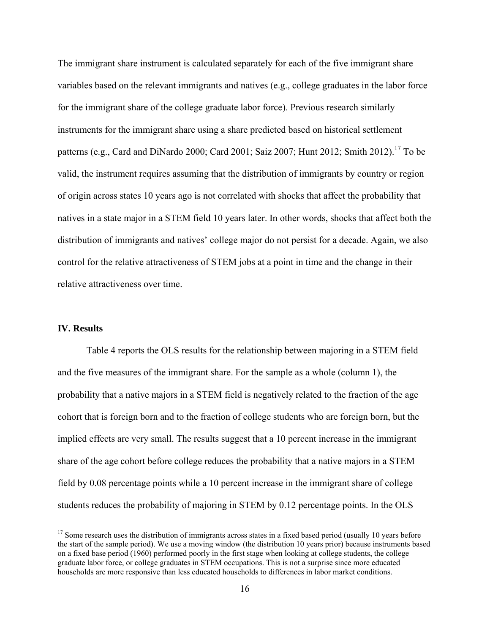The immigrant share instrument is calculated separately for each of the five immigrant share variables based on the relevant immigrants and natives (e.g., college graduates in the labor force for the immigrant share of the college graduate labor force). Previous research similarly instruments for the immigrant share using a share predicted based on historical settlement patterns (e.g., Card and DiNardo 2000; Card 2001; Saiz 2007; Hunt 2012; Smith 2012).<sup>17</sup> To be valid, the instrument requires assuming that the distribution of immigrants by country or region of origin across states 10 years ago is not correlated with shocks that affect the probability that natives in a state major in a STEM field 10 years later. In other words, shocks that affect both the distribution of immigrants and natives' college major do not persist for a decade. Again, we also control for the relative attractiveness of STEM jobs at a point in time and the change in their relative attractiveness over time.

#### **IV. Results**

1

 Table 4 reports the OLS results for the relationship between majoring in a STEM field and the five measures of the immigrant share. For the sample as a whole (column 1), the probability that a native majors in a STEM field is negatively related to the fraction of the age cohort that is foreign born and to the fraction of college students who are foreign born, but the implied effects are very small. The results suggest that a 10 percent increase in the immigrant share of the age cohort before college reduces the probability that a native majors in a STEM field by 0.08 percentage points while a 10 percent increase in the immigrant share of college students reduces the probability of majoring in STEM by 0.12 percentage points. In the OLS

 $17$  Some research uses the distribution of immigrants across states in a fixed based period (usually 10 years before the start of the sample period). We use a moving window (the distribution 10 years prior) because instruments based on a fixed base period (1960) performed poorly in the first stage when looking at college students, the college graduate labor force, or college graduates in STEM occupations. This is not a surprise since more educated households are more responsive than less educated households to differences in labor market conditions.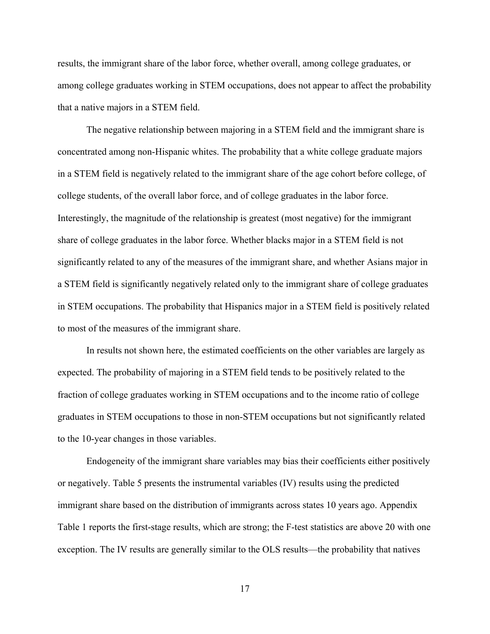results, the immigrant share of the labor force, whether overall, among college graduates, or among college graduates working in STEM occupations, does not appear to affect the probability that a native majors in a STEM field.

 The negative relationship between majoring in a STEM field and the immigrant share is concentrated among non-Hispanic whites. The probability that a white college graduate majors in a STEM field is negatively related to the immigrant share of the age cohort before college, of college students, of the overall labor force, and of college graduates in the labor force. Interestingly, the magnitude of the relationship is greatest (most negative) for the immigrant share of college graduates in the labor force. Whether blacks major in a STEM field is not significantly related to any of the measures of the immigrant share, and whether Asians major in a STEM field is significantly negatively related only to the immigrant share of college graduates in STEM occupations. The probability that Hispanics major in a STEM field is positively related to most of the measures of the immigrant share.

 In results not shown here, the estimated coefficients on the other variables are largely as expected. The probability of majoring in a STEM field tends to be positively related to the fraction of college graduates working in STEM occupations and to the income ratio of college graduates in STEM occupations to those in non-STEM occupations but not significantly related to the 10-year changes in those variables.

 Endogeneity of the immigrant share variables may bias their coefficients either positively or negatively. Table 5 presents the instrumental variables (IV) results using the predicted immigrant share based on the distribution of immigrants across states 10 years ago. Appendix Table 1 reports the first-stage results, which are strong; the F-test statistics are above 20 with one exception. The IV results are generally similar to the OLS results—the probability that natives

17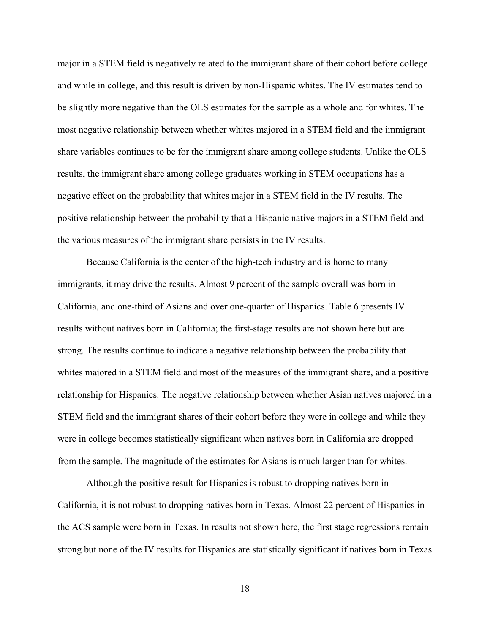major in a STEM field is negatively related to the immigrant share of their cohort before college and while in college, and this result is driven by non-Hispanic whites. The IV estimates tend to be slightly more negative than the OLS estimates for the sample as a whole and for whites. The most negative relationship between whether whites majored in a STEM field and the immigrant share variables continues to be for the immigrant share among college students. Unlike the OLS results, the immigrant share among college graduates working in STEM occupations has a negative effect on the probability that whites major in a STEM field in the IV results. The positive relationship between the probability that a Hispanic native majors in a STEM field and the various measures of the immigrant share persists in the IV results.

 Because California is the center of the high-tech industry and is home to many immigrants, it may drive the results. Almost 9 percent of the sample overall was born in California, and one-third of Asians and over one-quarter of Hispanics. Table 6 presents IV results without natives born in California; the first-stage results are not shown here but are strong. The results continue to indicate a negative relationship between the probability that whites majored in a STEM field and most of the measures of the immigrant share, and a positive relationship for Hispanics. The negative relationship between whether Asian natives majored in a STEM field and the immigrant shares of their cohort before they were in college and while they were in college becomes statistically significant when natives born in California are dropped from the sample. The magnitude of the estimates for Asians is much larger than for whites.

 Although the positive result for Hispanics is robust to dropping natives born in California, it is not robust to dropping natives born in Texas. Almost 22 percent of Hispanics in the ACS sample were born in Texas. In results not shown here, the first stage regressions remain strong but none of the IV results for Hispanics are statistically significant if natives born in Texas

18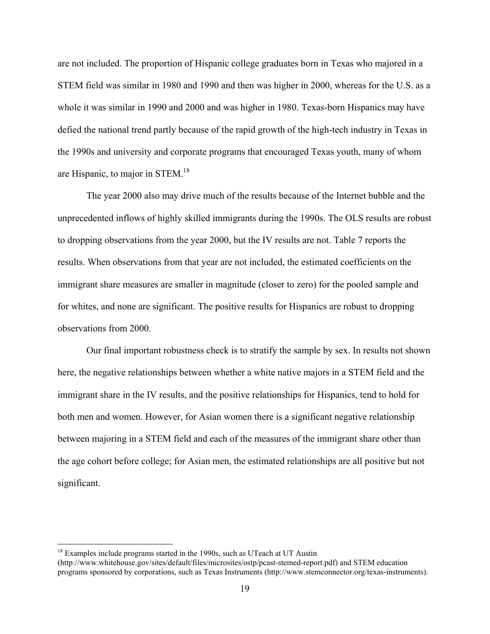are not included. The proportion of Hispanic college graduates born in Texas who majored in a STEM field was similar in 1980 and 1990 and then was higher in 2000, whereas for the U.S. as a whole it was similar in 1990 and 2000 and was higher in 1980. Texas-born Hispanics may have defied the national trend partly because of the rapid growth of the high-tech industry in Texas in the 1990s and university and corporate programs that encouraged Texas youth, many of whom are Hispanic, to major in STEM.18

 The year 2000 also may drive much of the results because of the Internet bubble and the unprecedented inflows of highly skilled immigrants during the 1990s. The OLS results are robust to dropping observations from the year 2000, but the IV results are not. Table 7 reports the results. When observations from that year are not included, the estimated coefficients on the immigrant share measures are smaller in magnitude (closer to zero) for the pooled sample and for whites, and none are significant. The positive results for Hispanics are robust to dropping observations from 2000.

 Our final important robustness check is to stratify the sample by sex. In results not shown here, the negative relationships between whether a white native majors in a STEM field and the immigrant share in the IV results, and the positive relationships for Hispanics, tend to hold for both men and women. However, for Asian women there is a significant negative relationship between majoring in a STEM field and each of the measures of the immigrant share other than the age cohort before college; for Asian men, the estimated relationships are all positive but not significant.

 $18$  Examples include programs started in the 1990s, such as UTeach at UT Austin (http://www.whitehouse.gov/sites/default/files/microsites/ostp/pcast-stemed-report.pdf) and STEM education programs sponsored by corporations, such as Texas Instruments (http://www.stemconnector.org/texas-instruments).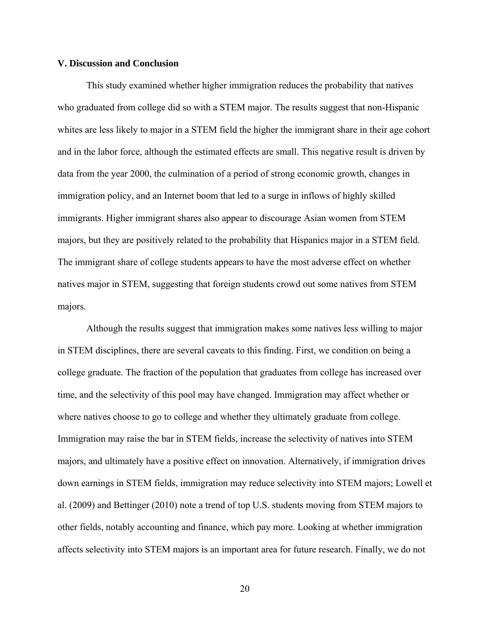#### **V. Discussion and Conclusion**

 This study examined whether higher immigration reduces the probability that natives who graduated from college did so with a STEM major. The results suggest that non-Hispanic whites are less likely to major in a STEM field the higher the immigrant share in their age cohort and in the labor force, although the estimated effects are small. This negative result is driven by data from the year 2000, the culmination of a period of strong economic growth, changes in immigration policy, and an Internet boom that led to a surge in inflows of highly skilled immigrants. Higher immigrant shares also appear to discourage Asian women from STEM majors, but they are positively related to the probability that Hispanics major in a STEM field. The immigrant share of college students appears to have the most adverse effect on whether natives major in STEM, suggesting that foreign students crowd out some natives from STEM majors.

 Although the results suggest that immigration makes some natives less willing to major in STEM disciplines, there are several caveats to this finding. First, we condition on being a college graduate. The fraction of the population that graduates from college has increased over time, and the selectivity of this pool may have changed. Immigration may affect whether or where natives choose to go to college and whether they ultimately graduate from college. Immigration may raise the bar in STEM fields, increase the selectivity of natives into STEM majors, and ultimately have a positive effect on innovation. Alternatively, if immigration drives down earnings in STEM fields, immigration may reduce selectivity into STEM majors; Lowell et al. (2009) and Bettinger (2010) note a trend of top U.S. students moving from STEM majors to other fields, notably accounting and finance, which pay more. Looking at whether immigration affects selectivity into STEM majors is an important area for future research. Finally, we do not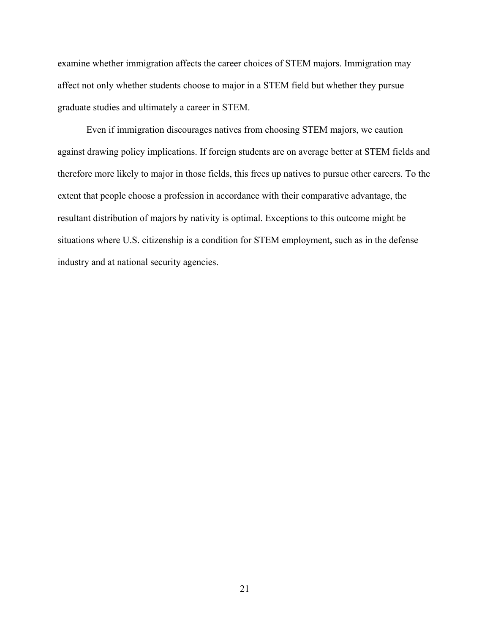examine whether immigration affects the career choices of STEM majors. Immigration may affect not only whether students choose to major in a STEM field but whether they pursue graduate studies and ultimately a career in STEM.

 Even if immigration discourages natives from choosing STEM majors, we caution against drawing policy implications. If foreign students are on average better at STEM fields and therefore more likely to major in those fields, this frees up natives to pursue other careers. To the extent that people choose a profession in accordance with their comparative advantage, the resultant distribution of majors by nativity is optimal. Exceptions to this outcome might be situations where U.S. citizenship is a condition for STEM employment, such as in the defense industry and at national security agencies.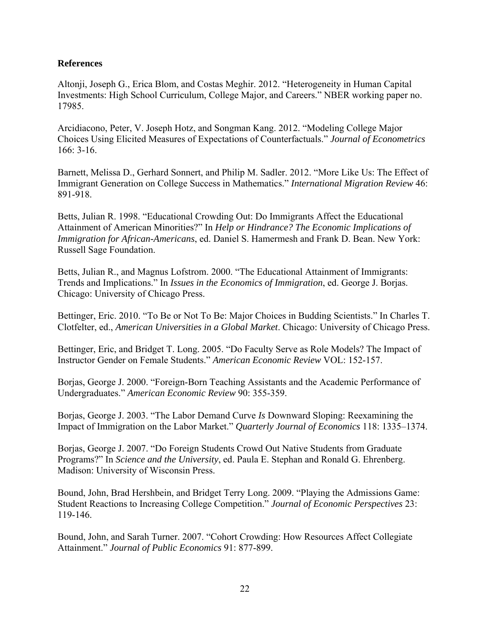### **References**

Altonji, Joseph G., Erica Blom, and Costas Meghir. 2012. "Heterogeneity in Human Capital Investments: High School Curriculum, College Major, and Careers." NBER working paper no. 17985.

Arcidiacono, Peter, V. Joseph Hotz, and Songman Kang. 2012. "Modeling College Major Choices Using Elicited Measures of Expectations of Counterfactuals." *Journal of Econometrics* 166: 3-16.

Barnett, Melissa D., Gerhard Sonnert, and Philip M. Sadler. 2012. "More Like Us: The Effect of Immigrant Generation on College Success in Mathematics." *International Migration Review* 46: 891-918.

Betts, Julian R. 1998. "Educational Crowding Out: Do Immigrants Affect the Educational Attainment of American Minorities?" In *Help or Hindrance? The Economic Implications of Immigration for African-Americans*, ed. Daniel S. Hamermesh and Frank D. Bean. New York: Russell Sage Foundation.

Betts, Julian R., and Magnus Lofstrom. 2000. "The Educational Attainment of Immigrants: Trends and Implications." In *Issues in the Economics of Immigration*, ed. George J. Borjas. Chicago: University of Chicago Press.

Bettinger, Eric. 2010. "To Be or Not To Be: Major Choices in Budding Scientists." In Charles T. Clotfelter, ed., *American Universities in a Global Market*. Chicago: University of Chicago Press.

Bettinger, Eric, and Bridget T. Long. 2005. "Do Faculty Serve as Role Models? The Impact of Instructor Gender on Female Students." *American Economic Review* VOL: 152-157.

Borjas, George J. 2000. "Foreign-Born Teaching Assistants and the Academic Performance of Undergraduates." *American Economic Review* 90: 355-359.

Borjas, George J. 2003. "The Labor Demand Curve *Is* Downward Sloping: Reexamining the Impact of Immigration on the Labor Market." *Quarterly Journal of Economics* 118: 1335–1374.

Borjas, George J. 2007. "Do Foreign Students Crowd Out Native Students from Graduate Programs?" In *Science and the University*, ed. Paula E. Stephan and Ronald G. Ehrenberg. Madison: University of Wisconsin Press.

Bound, John, Brad Hershbein, and Bridget Terry Long. 2009. "Playing the Admissions Game: Student Reactions to Increasing College Competition." *Journal of Economic Perspectives* 23: 119-146.

Bound, John, and Sarah Turner. 2007. "Cohort Crowding: How Resources Affect Collegiate Attainment." *Journal of Public Economics* 91: 877-899.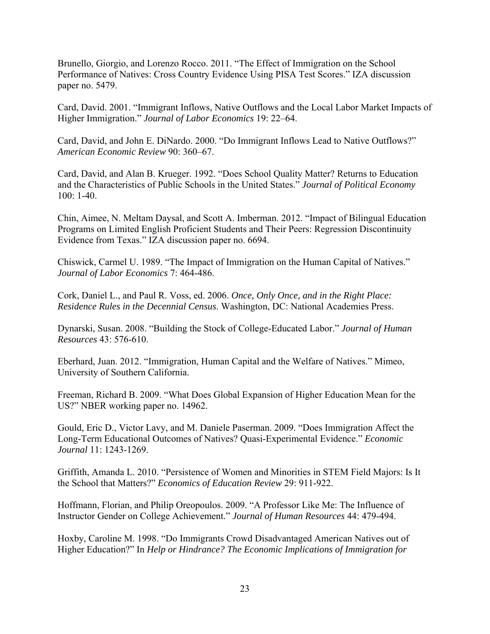Brunello, Giorgio, and Lorenzo Rocco. 2011. "The Effect of Immigration on the School Performance of Natives: Cross Country Evidence Using PISA Test Scores." IZA discussion paper no. 5479.

Card, David. 2001. "Immigrant Inflows, Native Outflows and the Local Labor Market Impacts of Higher Immigration." *Journal of Labor Economics* 19: 22–64.

Card, David, and John E. DiNardo. 2000. "Do Immigrant Inflows Lead to Native Outflows?" *American Economic Review* 90: 360–67.

Card, David, and Alan B. Krueger. 1992. "Does School Quality Matter? Returns to Education and the Characteristics of Public Schools in the United States." *Journal of Political Economy* 100: 1-40.

Chin, Aimee, N. Meltam Daysal, and Scott A. Imberman. 2012. "Impact of Bilingual Education Programs on Limited English Proficient Students and Their Peers: Regression Discontinuity Evidence from Texas." IZA discussion paper no. 6694.

Chiswick, Carmel U. 1989. "The Impact of Immigration on the Human Capital of Natives." *Journal of Labor Economics* 7: 464-486.

Cork, Daniel L., and Paul R. Voss, ed. 2006. *Once, Only Once, and in the Right Place: Residence Rules in the Decennial Census*. Washington, DC: National Academies Press.

Dynarski, Susan. 2008. "Building the Stock of College-Educated Labor." *Journal of Human Resources* 43: 576-610.

Eberhard, Juan. 2012. "Immigration, Human Capital and the Welfare of Natives." Mimeo, University of Southern California.

Freeman, Richard B. 2009. "What Does Global Expansion of Higher Education Mean for the US?" NBER working paper no. 14962.

Gould, Eric D., Victor Lavy, and M. Daniele Paserman. 2009. "Does Immigration Affect the Long-Term Educational Outcomes of Natives? Quasi-Experimental Evidence." *Economic Journal* 11: 1243-1269.

Griffith, Amanda L. 2010. "Persistence of Women and Minorities in STEM Field Majors: Is It the School that Matters?" *Economics of Education Review* 29: 911-922.

Hoffmann, Florian, and Philip Oreopoulos. 2009. "A Professor Like Me: The Influence of Instructor Gender on College Achievement." *Journal of Human Resources* 44: 479-494.

Hoxby, Caroline M. 1998. "Do Immigrants Crowd Disadvantaged American Natives out of Higher Education?" In *Help or Hindrance? The Economic Implications of Immigration for*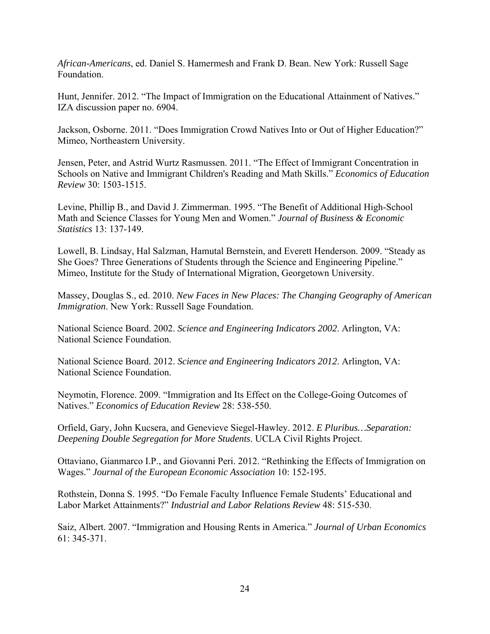*African-Americans*, ed. Daniel S. Hamermesh and Frank D. Bean. New York: Russell Sage Foundation.

Hunt, Jennifer. 2012. "The Impact of Immigration on the Educational Attainment of Natives." IZA discussion paper no. 6904.

Jackson, Osborne. 2011. "Does Immigration Crowd Natives Into or Out of Higher Education?" Mimeo, Northeastern University.

Jensen, Peter, and Astrid Wurtz Rasmussen. 2011. "The Effect of Immigrant Concentration in Schools on Native and Immigrant Children's Reading and Math Skills." *Economics of Education Review* 30: 1503-1515.

Levine, Phillip B., and David J. Zimmerman. 1995. "The Benefit of Additional High-School Math and Science Classes for Young Men and Women." *Journal of Business & Economic Statistics* 13: 137-149.

Lowell, B. Lindsay, Hal Salzman, Hamutal Bernstein, and Everett Henderson. 2009. "Steady as She Goes? Three Generations of Students through the Science and Engineering Pipeline." Mimeo, Institute for the Study of International Migration, Georgetown University.

Massey, Douglas S., ed. 2010. *New Faces in New Places: The Changing Geography of American Immigration*. New York: Russell Sage Foundation.

National Science Board. 2002. *Science and Engineering Indicators 2002*. Arlington, VA: National Science Foundation.

National Science Board. 2012. *Science and Engineering Indicators 2012*. Arlington, VA: National Science Foundation.

Neymotin, Florence. 2009. "Immigration and Its Effect on the College-Going Outcomes of Natives." *Economics of Education Review* 28: 538-550.

Orfield, Gary, John Kucsera, and Genevieve Siegel-Hawley. 2012. *E Pluribus…Separation: Deepening Double Segregation for More Students*. UCLA Civil Rights Project.

Ottaviano, Gianmarco I.P., and Giovanni Peri. 2012. "Rethinking the Effects of Immigration on Wages." *Journal of the European Economic Association* 10: 152-195.

Rothstein, Donna S. 1995. "Do Female Faculty Influence Female Students' Educational and Labor Market Attainments?" *Industrial and Labor Relations Review* 48: 515-530.

Saiz, Albert. 2007. "Immigration and Housing Rents in America." *Journal of Urban Economics* 61: 345-371.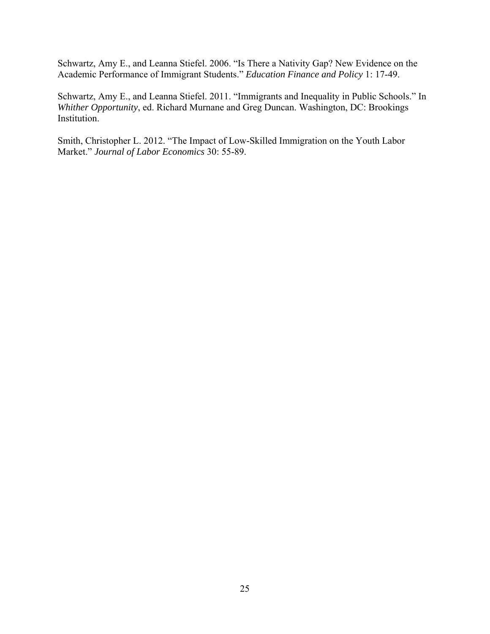Schwartz, Amy E., and Leanna Stiefel. 2006. "Is There a Nativity Gap? New Evidence on the Academic Performance of Immigrant Students." *Education Finance and Policy* 1: 17-49.

Schwartz, Amy E., and Leanna Stiefel. 2011. "Immigrants and Inequality in Public Schools." In *Whither Opportunity*, ed. Richard Murnane and Greg Duncan. Washington, DC: Brookings Institution.

Smith, Christopher L. 2012. "The Impact of Low-Skilled Immigration on the Youth Labor Market." *Journal of Labor Economics* 30: 55-89.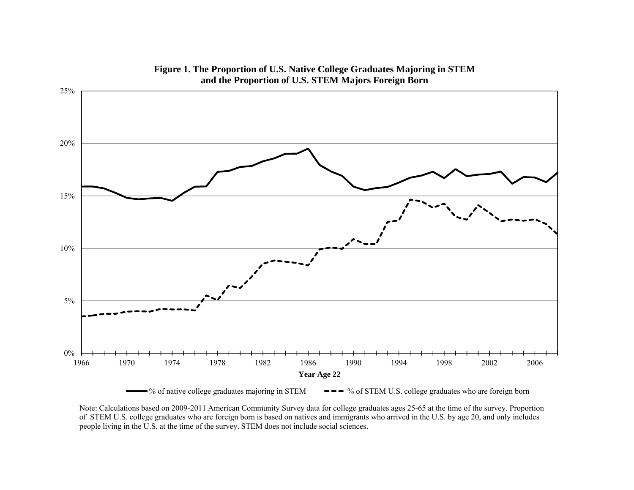

**Figure 1. The Proportion of U.S. Native College Graduates Majoring in STEM and the Proportion of U.S. STEM Majors Foreign Born**

% of native college graduates majoring in STEM  $\bullet \bullet \bullet$  % of STEM U.S. college graduates who are foreign born

Note: Calculations based on 2009-2011 American Community Survey data for college graduates ages 25-65 at the time of the survey. Proportion of STEM U.S. college graduates who are foreign born is based on natives and immigrants who arrived in the U.S. by age 20, and only includes people living in the U.S. at the time of the survey. STEM does not include social sciences.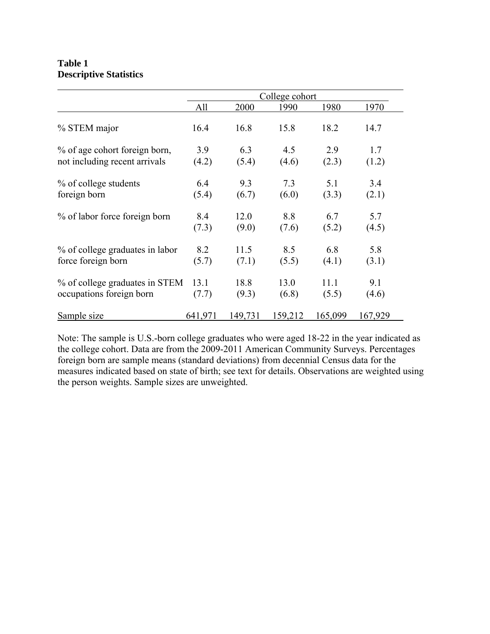### **Table 1 Descriptive Statistics**

|                                 | College cohort |         |         |         |         |  |
|---------------------------------|----------------|---------|---------|---------|---------|--|
|                                 | All            | 2000    | 1990    | 1980    | 1970    |  |
| % STEM major                    | 16.4           | 16.8    | 15.8    | 18.2    | 14.7    |  |
| % of age cohort foreign born,   | 3.9            | 6.3     | 4.5     | 2.9     | 1.7     |  |
| not including recent arrivals   | (4.2)          | (5.4)   | (4.6)   | (2.3)   | (1.2)   |  |
| % of college students           | 6.4            | 9.3     | 7.3     | 5.1     | 3.4     |  |
| foreign born                    | (5.4)          | (6.7)   | (6.0)   | (3.3)   | (2.1)   |  |
| % of labor force foreign born   | 8.4            | 12.0    | 8.8     | 6.7     | 5.7     |  |
|                                 | (7.3)          | (9.0)   | (7.6)   | (5.2)   | (4.5)   |  |
| % of college graduates in labor | 8.2            | 11.5    | 8.5     | 6.8     | 5.8     |  |
| force foreign born              | (5.7)          | (7.1)   | (5.5)   | (4.1)   | (3.1)   |  |
| % of college graduates in STEM  | 13.1           | 18.8    | 13.0    | 11.1    | 9.1     |  |
| occupations foreign born        | (7.7)          | (9.3)   | (6.8)   | (5.5)   | (4.6)   |  |
| Sample size                     | 641,971        | 149,731 | 159,212 | 165,099 | 167,929 |  |

Note: The sample is U.S.-born college graduates who were aged 18-22 in the year indicated as the college cohort. Data are from the 2009-2011 American Community Surveys. Percentages foreign born are sample means (standard deviations) from decennial Census data for the measures indicated based on state of birth; see text for details. Observations are weighted using the person weights. Sample sizes are unweighted.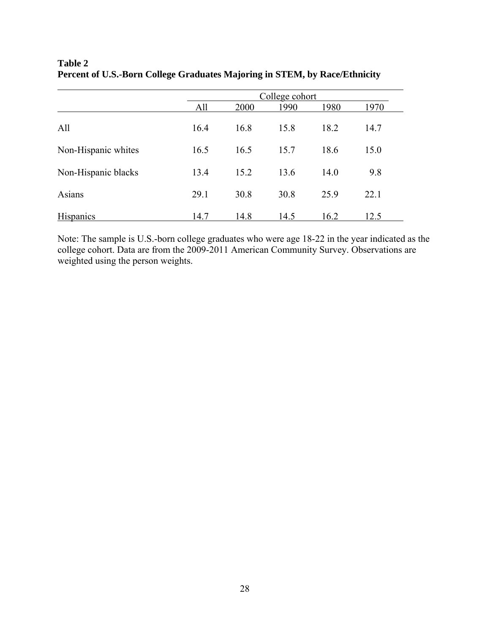|                     | College cohort |      |      |      |      |  |
|---------------------|----------------|------|------|------|------|--|
|                     | All            | 2000 | 1990 | 1980 | 1970 |  |
| All                 | 16.4           | 16.8 | 15.8 | 18.2 | 14.7 |  |
| Non-Hispanic whites | 16.5           | 16.5 | 15.7 | 18.6 | 15.0 |  |
| Non-Hispanic blacks | 13.4           | 15.2 | 13.6 | 14.0 | 9.8  |  |
| Asians              | 29.1           | 30.8 | 30.8 | 25.9 | 22.1 |  |
| <b>Hispanics</b>    | 14.7           | 14.8 | 14.5 | 16.2 | 12.5 |  |

### **Table 2 Percent of U.S.-Born College Graduates Majoring in STEM, by Race/Ethnicity**

Note: The sample is U.S.-born college graduates who were age 18-22 in the year indicated as the college cohort. Data are from the 2009-2011 American Community Survey. Observations are weighted using the person weights.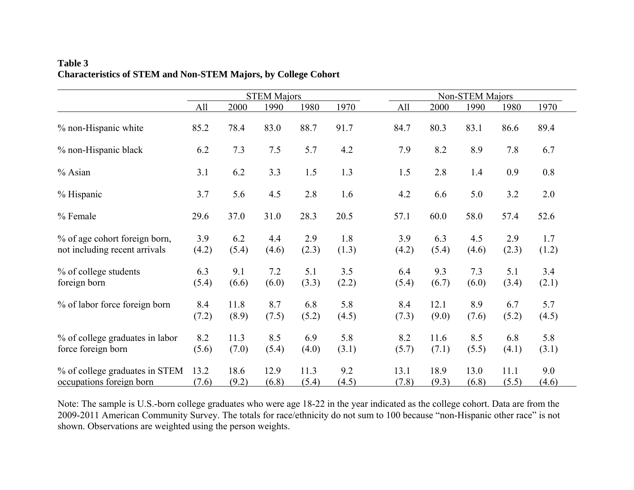|                                                                | <b>STEM Majors</b> |               |               |               |              | Non-STEM Majors |               |               |               |              |
|----------------------------------------------------------------|--------------------|---------------|---------------|---------------|--------------|-----------------|---------------|---------------|---------------|--------------|
|                                                                | All                | 2000          | 1990          | 1980          | 1970         | All             | 2000          | 1990          | 1980          | 1970         |
| % non-Hispanic white                                           | 85.2               | 78.4          | 83.0          | 88.7          | 91.7         | 84.7            | 80.3          | 83.1          | 86.6          | 89.4         |
| % non-Hispanic black                                           | 6.2                | 7.3           | 7.5           | 5.7           | 4.2          | 7.9             | 8.2           | 8.9           | 7.8           | 6.7          |
| % Asian                                                        | 3.1                | 6.2           | 3.3           | 1.5           | 1.3          | 1.5             | 2.8           | 1.4           | 0.9           | $0.8\,$      |
| % Hispanic                                                     | 3.7                | 5.6           | 4.5           | 2.8           | 1.6          | 4.2             | 6.6           | 5.0           | 3.2           | 2.0          |
| % Female                                                       | 29.6               | 37.0          | 31.0          | 28.3          | 20.5         | 57.1            | 60.0          | 58.0          | 57.4          | 52.6         |
| % of age cohort foreign born,<br>not including recent arrivals | 3.9<br>(4.2)       | 6.2<br>(5.4)  | 4.4<br>(4.6)  | 2.9<br>(2.3)  | 1.8<br>(1.3) | 3.9<br>(4.2)    | 6.3<br>(5.4)  | 4.5<br>(4.6)  | 2.9<br>(2.3)  | 1.7<br>(1.2) |
| % of college students<br>foreign born                          | 6.3<br>(5.4)       | 9.1<br>(6.6)  | 7.2<br>(6.0)  | 5.1<br>(3.3)  | 3.5<br>(2.2) | 6.4<br>(5.4)    | 9.3<br>(6.7)  | 7.3<br>(6.0)  | 5.1<br>(3.4)  | 3.4<br>(2.1) |
| % of labor force foreign born                                  | 8.4<br>(7.2)       | 11.8<br>(8.9) | 8.7<br>(7.5)  | 6.8<br>(5.2)  | 5.8<br>(4.5) | 8.4<br>(7.3)    | 12.1<br>(9.0) | 8.9<br>(7.6)  | 6.7<br>(5.2)  | 5.7<br>(4.5) |
| % of college graduates in labor<br>force foreign born          | 8.2<br>(5.6)       | 11.3<br>(7.0) | 8.5<br>(5.4)  | 6.9<br>(4.0)  | 5.8<br>(3.1) | 8.2<br>(5.7)    | 11.6<br>(7.1) | 8.5<br>(5.5)  | 6.8<br>(4.1)  | 5.8<br>(3.1) |
| % of college graduates in STEM<br>occupations foreign born     | 13.2<br>(7.6)      | 18.6<br>(9.2) | 12.9<br>(6.8) | 11.3<br>(5.4) | 9.2<br>(4.5) | 13.1<br>(7.8)   | 18.9<br>(9.3) | 13.0<br>(6.8) | 11.1<br>(5.5) | 9.0<br>(4.6) |

## **Table 3 Characteristics of STEM and Non-STEM Majors, by College Cohort**

Note: The sample is U.S.-born college graduates who were age 18-22 in the year indicated as the college cohort. Data are from the 2009-2011 American Community Survey. The totals for race/ethnicity do not sum to 100 because "non-Hispanic other race" is not shown. Observations are weighted using the person weights.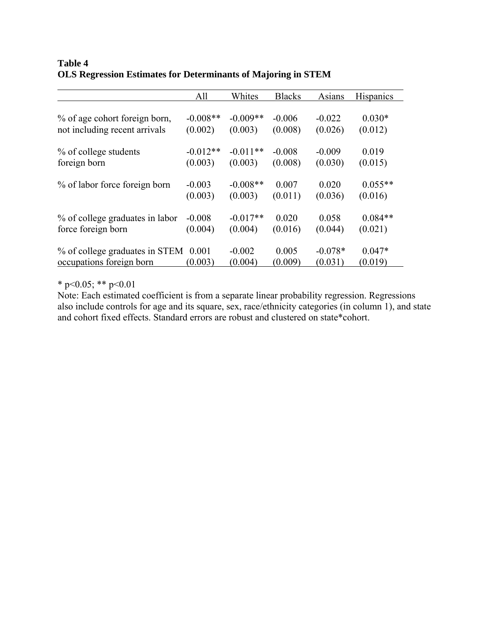## **Table 4 OLS Regression Estimates for Determinants of Majoring in STEM**

|                                 | All        | Whites     | <b>Blacks</b> | Asians    | <b>Hispanics</b> |
|---------------------------------|------------|------------|---------------|-----------|------------------|
| % of age cohort foreign born,   | $-0.008**$ | $-0.009**$ | $-0.006$      | $-0.022$  | $0.030*$         |
| not including recent arrivals   | (0.002)    | (0.003)    | (0.008)       | (0.026)   | (0.012)          |
| % of college students           | $-0.012**$ | $-0.011**$ | $-0.008$      | $-0.009$  | 0.019            |
| foreign born                    | (0.003)    | (0.003)    | (0.008)       | (0.030)   | (0.015)          |
| % of labor force foreign born   | $-0.003$   | $-0.008**$ | 0.007         | 0.020     | $0.055**$        |
|                                 | (0.003)    | (0.003)    | (0.011)       | (0.036)   | (0.016)          |
| % of college graduates in labor | $-0.008$   | $-0.017**$ | 0.020         | 0.058     | $0.084**$        |
| force foreign born              | (0.004)    | (0.004)    | (0.016)       | (0.044)   | (0.021)          |
| % of college graduates in STEM  | 0.001      | $-0.002$   | 0.005         | $-0.078*$ | $0.047*$         |
| occupations foreign born        | (0.003)    | (0.004)    | (0.009)       | (0.031)   | (0.019)          |

\* p<0.05; \*\* p<0.01

Note: Each estimated coefficient is from a separate linear probability regression. Regressions also include controls for age and its square, sex, race/ethnicity categories (in column 1), and state and cohort fixed effects. Standard errors are robust and clustered on state\*cohort.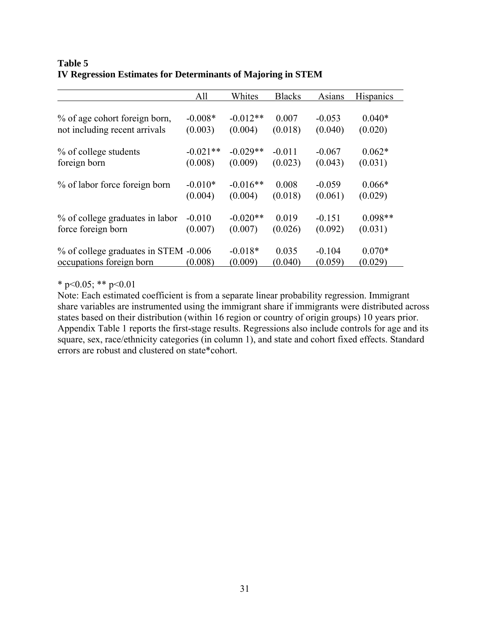|                                       | All        | Whites     | <b>Blacks</b> | Asians   | <b>Hispanics</b> |
|---------------------------------------|------------|------------|---------------|----------|------------------|
|                                       |            |            |               |          |                  |
| % of age cohort foreign born,         | $-0.008*$  | $-0.012**$ | 0.007         | $-0.053$ | $0.040*$         |
| not including recent arrivals         | (0.003)    | (0.004)    | (0.018)       | (0.040)  | (0.020)          |
| % of college students                 | $-0.021**$ | $-0.029**$ | $-0.011$      | $-0.067$ | $0.062*$         |
| foreign born                          | (0.008)    | (0.009)    | (0.023)       | (0.043)  | (0.031)          |
|                                       |            |            |               |          |                  |
| % of labor force foreign born         | $-0.010*$  | $-0.016**$ | 0.008         | $-0.059$ | $0.066*$         |
|                                       | (0.004)    | (0.004)    | (0.018)       | (0.061)  | (0.029)          |
| % of college graduates in labor       | $-0.010$   | $-0.020**$ | 0.019         | $-0.151$ | $0.098**$        |
| force foreign born                    | (0.007)    | (0.007)    | (0.026)       | (0.092)  | (0.031)          |
| % of college graduates in STEM -0.006 |            | $-0.018*$  | 0.035         | $-0.104$ | $0.070*$         |
| occupations foreign born              | (0.008)    | (0.009)    | (0.040)       | (0.059)  | (0.029)          |

### **Table 5 IV Regression Estimates for Determinants of Majoring in STEM**

\* p<0.05; \*\* p<0.01

Note: Each estimated coefficient is from a separate linear probability regression. Immigrant share variables are instrumented using the immigrant share if immigrants were distributed across states based on their distribution (within 16 region or country of origin groups) 10 years prior. Appendix Table 1 reports the first-stage results. Regressions also include controls for age and its square, sex, race/ethnicity categories (in column 1), and state and cohort fixed effects. Standard errors are robust and clustered on state\*cohort.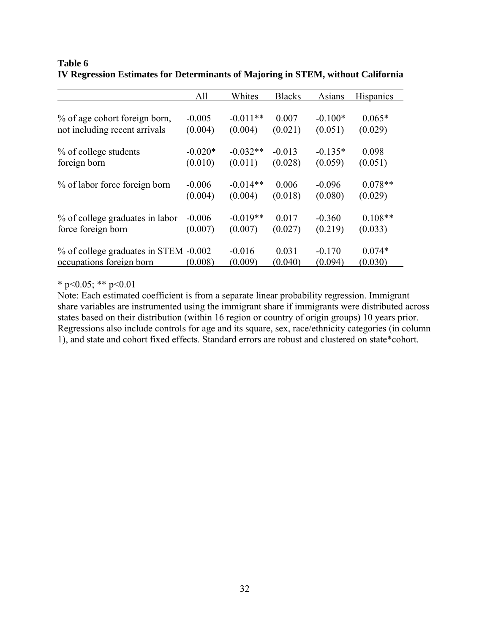|                                       | All       | Whites     | <b>Blacks</b> | Asians    | Hispanics |
|---------------------------------------|-----------|------------|---------------|-----------|-----------|
|                                       |           |            |               |           |           |
| % of age cohort foreign born,         | $-0.005$  | $-0.011**$ | 0.007         | $-0.100*$ | $0.065*$  |
| not including recent arrivals         | (0.004)   | (0.004)    | (0.021)       | (0.051)   | (0.029)   |
| % of college students                 | $-0.020*$ | $-0.032**$ | $-0.013$      | $-0.135*$ | 0.098     |
| foreign born                          | (0.010)   | (0.011)    | (0.028)       | (0.059)   | (0.051)   |
| % of labor force foreign born         | $-0.006$  | $-0.014**$ | 0.006         | $-0.096$  | $0.078**$ |
|                                       | (0.004)   | (0.004)    | (0.018)       | (0.080)   | (0.029)   |
| % of college graduates in labor       | $-0.006$  | $-0.019**$ | 0.017         | $-0.360$  | $0.108**$ |
| force foreign born                    | (0.007)   | (0.007)    | (0.027)       | (0.219)   | (0.033)   |
| % of college graduates in STEM -0.002 |           | $-0.016$   | 0.031         | $-0.170$  | $0.074*$  |
| occupations foreign born              | (0.008)   | (0.009)    | (0.040)       | (0.094)   | (0.030)   |

# **Table 6 IV Regression Estimates for Determinants of Majoring in STEM, without California**

\* p<0.05; \*\* p<0.01

Note: Each estimated coefficient is from a separate linear probability regression. Immigrant share variables are instrumented using the immigrant share if immigrants were distributed across states based on their distribution (within 16 region or country of origin groups) 10 years prior. Regressions also include controls for age and its square, sex, race/ethnicity categories (in column 1), and state and cohort fixed effects. Standard errors are robust and clustered on state\*cohort.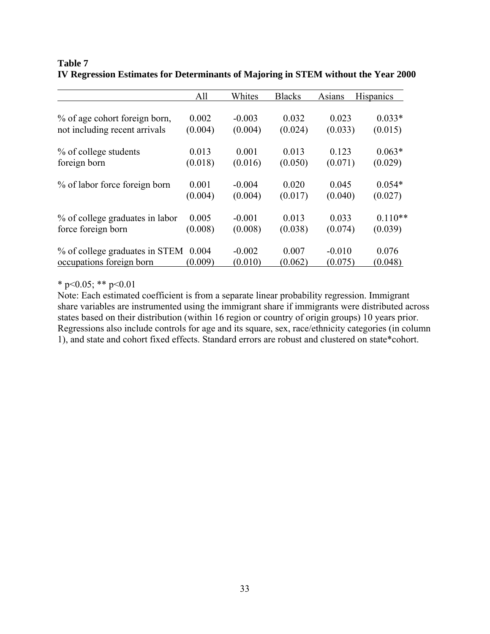|                                      | All     | Whites   | <b>Blacks</b> | Asians   | Hispanics |
|--------------------------------------|---------|----------|---------------|----------|-----------|
| % of age cohort foreign born,        | 0.002   | $-0.003$ | 0.032         | 0.023    | $0.033*$  |
| not including recent arrivals        | (0.004) | (0.004)  | (0.024)       | (0.033)  | (0.015)   |
| % of college students                | 0.013   | 0.001    | 0.013         | 0.123    | $0.063*$  |
| foreign born                         | (0.018) | (0.016)  | (0.050)       | (0.071)  | (0.029)   |
| % of labor force foreign born        | 0.001   | $-0.004$ | 0.020         | 0.045    | $0.054*$  |
|                                      | (0.004) | (0.004)  | (0.017)       | (0.040)  | (0.027)   |
| % of college graduates in labor      | 0.005   | $-0.001$ | 0.013         | 0.033    | $0.110**$ |
| force foreign born                   | (0.008) | (0.008)  | (0.038)       | (0.074)  | (0.039)   |
| % of college graduates in STEM 0.004 | (0.009) | $-0.002$ | 0.007         | $-0.010$ | 0.076     |
| occupations foreign born             |         | (0.010)  | (0.062)       | (0.075)  | (0.048)   |

# **Table 7 IV Regression Estimates for Determinants of Majoring in STEM without the Year 2000**

\* p<0.05; \*\* p<0.01

Note: Each estimated coefficient is from a separate linear probability regression. Immigrant share variables are instrumented using the immigrant share if immigrants were distributed across states based on their distribution (within 16 region or country of origin groups) 10 years prior. Regressions also include controls for age and its square, sex, race/ethnicity categories (in column 1), and state and cohort fixed effects. Standard errors are robust and clustered on state\*cohort.